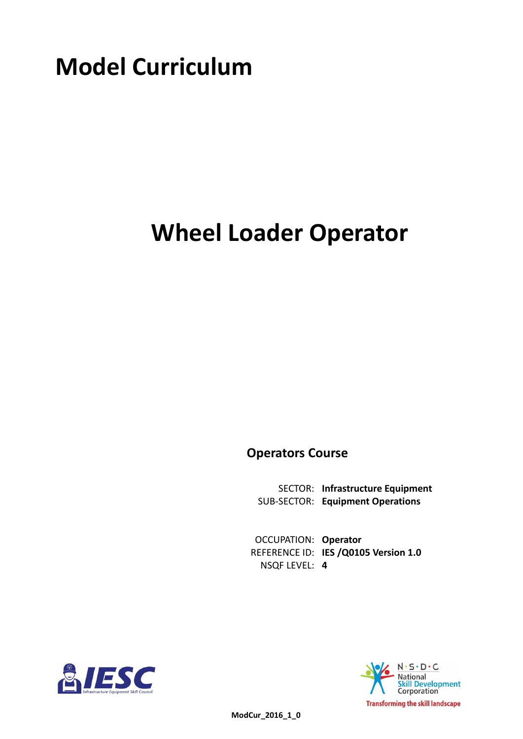# **Model Curriculum**

## **Wheel Loader Operator**

**Operators Course**

**Infrastructure Equipment** SECTOR: **Equipment Operations** SUB-SECTOR:

**OCCUPATION: Operator** REFERENCE ID: IES /Q0105 Version 1.0 **4** NSQF LEVEL:





 **ModCur\_2016\_1\_0**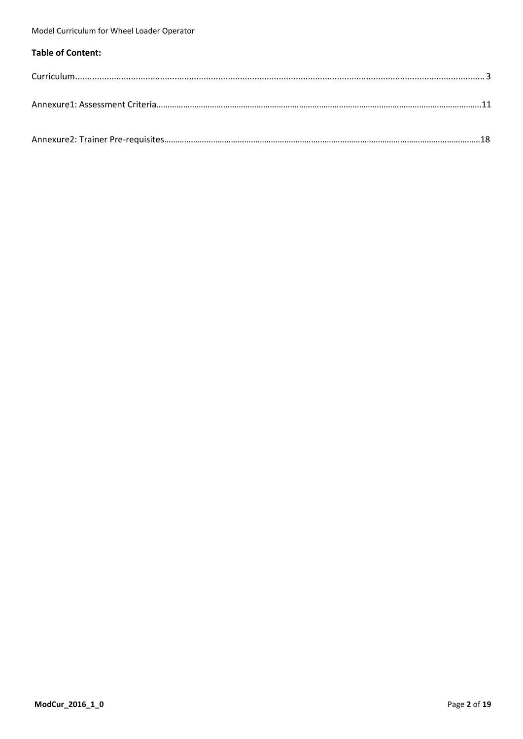### **Table of Content:**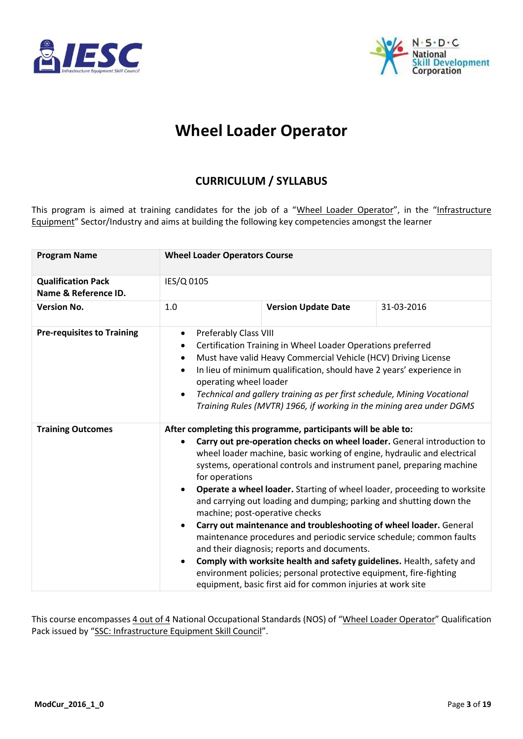<span id="page-2-0"></span>



## **Wheel Loader Operator**

### **CURRICULUM / SYLLABUS**

This program is aimed at training candidates for the job of a "Wheel Loader Operator", in the "Infrastructure Equipment" Sector/Industry and aims at building the following key competencies amongst the learner

| <b>Program Name</b>                               | <b>Wheel Loader Operators Course</b>                                                                                                                                                                                                                                                                                                                                                                                                                                                                                                                                                                                                                                                                                                                                                                                                                                                                                                                               |                            |            |  |  |  |
|---------------------------------------------------|--------------------------------------------------------------------------------------------------------------------------------------------------------------------------------------------------------------------------------------------------------------------------------------------------------------------------------------------------------------------------------------------------------------------------------------------------------------------------------------------------------------------------------------------------------------------------------------------------------------------------------------------------------------------------------------------------------------------------------------------------------------------------------------------------------------------------------------------------------------------------------------------------------------------------------------------------------------------|----------------------------|------------|--|--|--|
| <b>Qualification Pack</b><br>Name & Reference ID. | IES/Q 0105                                                                                                                                                                                                                                                                                                                                                                                                                                                                                                                                                                                                                                                                                                                                                                                                                                                                                                                                                         |                            |            |  |  |  |
| <b>Version No.</b>                                | 1.0                                                                                                                                                                                                                                                                                                                                                                                                                                                                                                                                                                                                                                                                                                                                                                                                                                                                                                                                                                | <b>Version Update Date</b> | 31-03-2016 |  |  |  |
| <b>Pre-requisites to Training</b>                 | Preferably Class VIII<br>$\bullet$<br>Certification Training in Wheel Loader Operations preferred<br>Must have valid Heavy Commercial Vehicle (HCV) Driving License<br>$\bullet$<br>In lieu of minimum qualification, should have 2 years' experience in<br>$\bullet$<br>operating wheel loader<br>Technical and gallery training as per first schedule, Mining Vocational<br>$\bullet$<br>Training Rules (MVTR) 1966, if working in the mining area under DGMS                                                                                                                                                                                                                                                                                                                                                                                                                                                                                                    |                            |            |  |  |  |
| <b>Training Outcomes</b>                          | After completing this programme, participants will be able to:<br>Carry out pre-operation checks on wheel loader. General introduction to<br>$\bullet$<br>wheel loader machine, basic working of engine, hydraulic and electrical<br>systems, operational controls and instrument panel, preparing machine<br>for operations<br>Operate a wheel loader. Starting of wheel loader, proceeding to worksite<br>$\bullet$<br>and carrying out loading and dumping; parking and shutting down the<br>machine; post-operative checks<br>Carry out maintenance and troubleshooting of wheel loader. General<br>$\bullet$<br>maintenance procedures and periodic service schedule; common faults<br>and their diagnosis; reports and documents.<br>Comply with worksite health and safety guidelines. Health, safety and<br>$\bullet$<br>environment policies; personal protective equipment, fire-fighting<br>equipment, basic first aid for common injuries at work site |                            |            |  |  |  |

This course encompasses 4 out of 4 National Occupational Standards (NOS) of "Wheel Loader Operator" Qualification Pack issued by "SSC: Infrastructure Equipment Skill Council".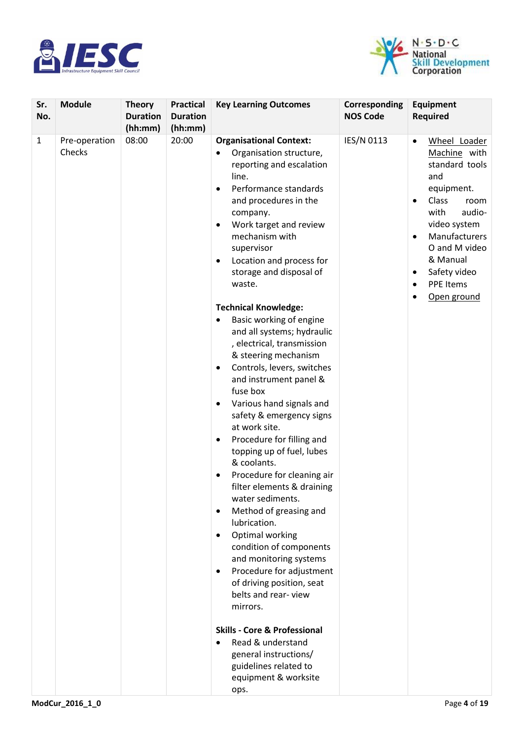



| Sr.<br>No.   | <b>Module</b>           | <b>Theory</b><br><b>Duration</b><br>(hh:mm) | <b>Practical</b><br><b>Duration</b><br>(hh:mm) | <b>Key Learning Outcomes</b>                                                                                                                                                                                                                                                                                                                                                                                                                                                                                                                                                                                                                                                                                                                                                                                                                                                                                                                                                                                                                                                                                                                                                                                                            | Corresponding<br><b>NOS Code</b> | <b>Equipment</b><br><b>Required</b>                                                                                                                                                                                                                                                                          |
|--------------|-------------------------|---------------------------------------------|------------------------------------------------|-----------------------------------------------------------------------------------------------------------------------------------------------------------------------------------------------------------------------------------------------------------------------------------------------------------------------------------------------------------------------------------------------------------------------------------------------------------------------------------------------------------------------------------------------------------------------------------------------------------------------------------------------------------------------------------------------------------------------------------------------------------------------------------------------------------------------------------------------------------------------------------------------------------------------------------------------------------------------------------------------------------------------------------------------------------------------------------------------------------------------------------------------------------------------------------------------------------------------------------------|----------------------------------|--------------------------------------------------------------------------------------------------------------------------------------------------------------------------------------------------------------------------------------------------------------------------------------------------------------|
| $\mathbf{1}$ | Pre-operation<br>Checks | 08:00                                       | 20:00                                          | <b>Organisational Context:</b><br>Organisation structure,<br>$\bullet$<br>reporting and escalation<br>line.<br>Performance standards<br>$\bullet$<br>and procedures in the<br>company.<br>Work target and review<br>٠<br>mechanism with<br>supervisor<br>Location and process for<br>$\bullet$<br>storage and disposal of<br>waste.<br><b>Technical Knowledge:</b><br>Basic working of engine<br>and all systems; hydraulic<br>, electrical, transmission<br>& steering mechanism<br>Controls, levers, switches<br>$\bullet$<br>and instrument panel &<br>fuse box<br>Various hand signals and<br>٠<br>safety & emergency signs<br>at work site.<br>Procedure for filling and<br>$\bullet$<br>topping up of fuel, lubes<br>& coolants.<br>Procedure for cleaning air<br>٠<br>filter elements & draining<br>water sediments.<br>Method of greasing and<br>$\bullet$<br>lubrication.<br>Optimal working<br>٠<br>condition of components<br>and monitoring systems<br>Procedure for adjustment<br>$\bullet$<br>of driving position, seat<br>belts and rear-view<br>mirrors.<br><b>Skills - Core &amp; Professional</b><br>Read & understand<br>$\bullet$<br>general instructions/<br>guidelines related to<br>equipment & worksite<br>ops. | IES/N 0113                       | Wheel Loader<br>$\bullet$<br>Machine with<br>standard tools<br>and<br>equipment.<br><b>Class</b><br>room<br>$\bullet$<br>with<br>audio-<br>video system<br>Manufacturers<br>$\bullet$<br>O and M video<br>& Manual<br>Safety video<br>$\bullet$<br><b>PPE Items</b><br>$\bullet$<br>Open ground<br>$\bullet$ |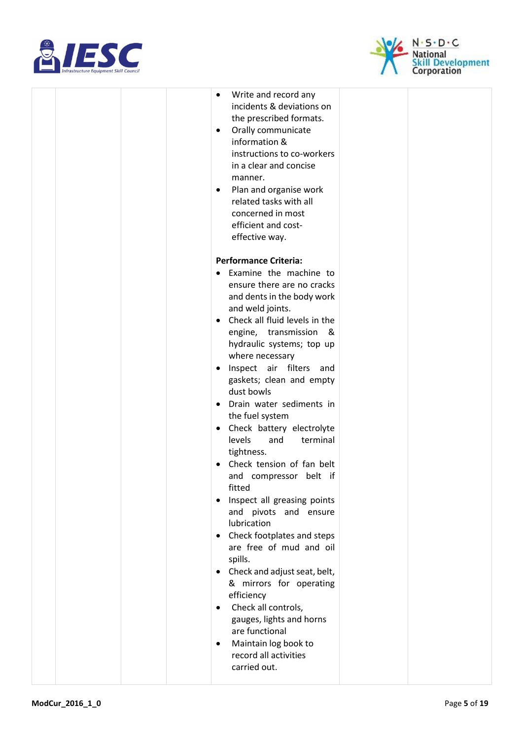



|  |  | Write and record any<br>$\bullet$<br>incidents & deviations on<br>the prescribed formats.<br>Orally communicate<br>$\bullet$<br>information &<br>instructions to co-workers<br>in a clear and concise<br>manner.<br>Plan and organise work<br>$\bullet$<br>related tasks with all<br>concerned in most<br>efficient and cost-<br>effective way. |  |
|--|--|-------------------------------------------------------------------------------------------------------------------------------------------------------------------------------------------------------------------------------------------------------------------------------------------------------------------------------------------------|--|
|  |  | <b>Performance Criteria:</b>                                                                                                                                                                                                                                                                                                                    |  |
|  |  |                                                                                                                                                                                                                                                                                                                                                 |  |
|  |  | Examine the machine to<br>ensure there are no cracks<br>and dents in the body work<br>and weld joints.                                                                                                                                                                                                                                          |  |
|  |  | • Check all fluid levels in the<br>engine, transmission<br>_&<br>hydraulic systems; top up<br>where necessary                                                                                                                                                                                                                                   |  |
|  |  | Inspect air filters and<br>$\bullet$<br>gaskets; clean and empty<br>dust bowls                                                                                                                                                                                                                                                                  |  |
|  |  | Drain water sediments in<br>$\bullet$<br>the fuel system                                                                                                                                                                                                                                                                                        |  |
|  |  | Check battery electrolyte<br>$\bullet$<br>levels<br>terminal<br>and<br>tightness.                                                                                                                                                                                                                                                               |  |
|  |  | Check tension of fan belt<br>and compressor belt if<br>fitted                                                                                                                                                                                                                                                                                   |  |
|  |  | Inspect all greasing points<br>$\bullet$<br>and pivots and ensure<br>lubrication                                                                                                                                                                                                                                                                |  |
|  |  | Check footplates and steps<br>$\bullet$<br>are free of mud and oil<br>spills.                                                                                                                                                                                                                                                                   |  |
|  |  | Check and adjust seat, belt,<br>& mirrors for operating<br>efficiency<br>Check all controls,                                                                                                                                                                                                                                                    |  |
|  |  | $\bullet$<br>gauges, lights and horns<br>are functional<br>Maintain log book to<br>$\bullet$                                                                                                                                                                                                                                                    |  |
|  |  | record all activities<br>carried out.                                                                                                                                                                                                                                                                                                           |  |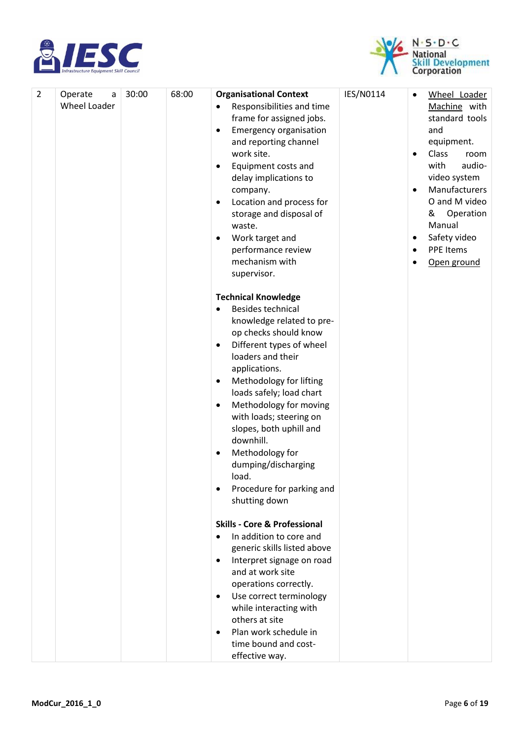



| $\overline{2}$ |                                     | 30:00 | 68:00 | <b>Organisational Context</b>                                                                                                                                                                                                                                                                                                                                                 | IES/N0114 |                                                       |                                                                                                                                                                                                                                  |
|----------------|-------------------------------------|-------|-------|-------------------------------------------------------------------------------------------------------------------------------------------------------------------------------------------------------------------------------------------------------------------------------------------------------------------------------------------------------------------------------|-----------|-------------------------------------------------------|----------------------------------------------------------------------------------------------------------------------------------------------------------------------------------------------------------------------------------|
|                | Operate<br>a<br><b>Wheel Loader</b> |       |       | Responsibilities and time<br>٠<br>frame for assigned jobs.<br><b>Emergency organisation</b><br>٠<br>and reporting channel<br>work site.<br>Equipment costs and<br>$\bullet$<br>delay implications to<br>company.<br>Location and process for<br>$\bullet$<br>storage and disposal of<br>waste.<br>Work target and<br>٠<br>performance review<br>mechanism with<br>supervisor. |           | $\bullet$<br>$\bullet$<br>$\bullet$<br>٠<br>$\bullet$ | Wheel Loader<br>Machine with<br>standard tools<br>and<br>equipment.<br>Class<br>room<br>with<br>audio-<br>video system<br>Manufacturers<br>O and M video<br>Operation<br>&<br>Manual<br>Safety video<br>PPE Items<br>Open ground |
|                |                                     |       |       | <b>Technical Knowledge</b><br><b>Besides technical</b><br>٠<br>knowledge related to pre-<br>op checks should know<br>Different types of wheel<br>$\bullet$<br>loaders and their<br>applications.<br>Methodology for lifting<br>$\bullet$<br>loads safely; load chart<br>Methodology for moving<br>$\bullet$<br>with loads; steering on                                        |           |                                                       |                                                                                                                                                                                                                                  |
|                |                                     |       |       | slopes, both uphill and<br>downhill.<br>Methodology for<br>dumping/discharging<br>load.<br>Procedure for parking and<br>٠<br>shutting down                                                                                                                                                                                                                                    |           |                                                       |                                                                                                                                                                                                                                  |
|                |                                     |       |       | <b>Skills - Core &amp; Professional</b><br>In addition to core and<br>generic skills listed above<br>Interpret signage on road<br>$\bullet$<br>and at work site<br>operations correctly.<br>Use correct terminology<br>$\bullet$<br>while interacting with<br>others at site<br>Plan work schedule in<br>$\bullet$<br>time bound and cost-<br>effective way.                  |           |                                                       |                                                                                                                                                                                                                                  |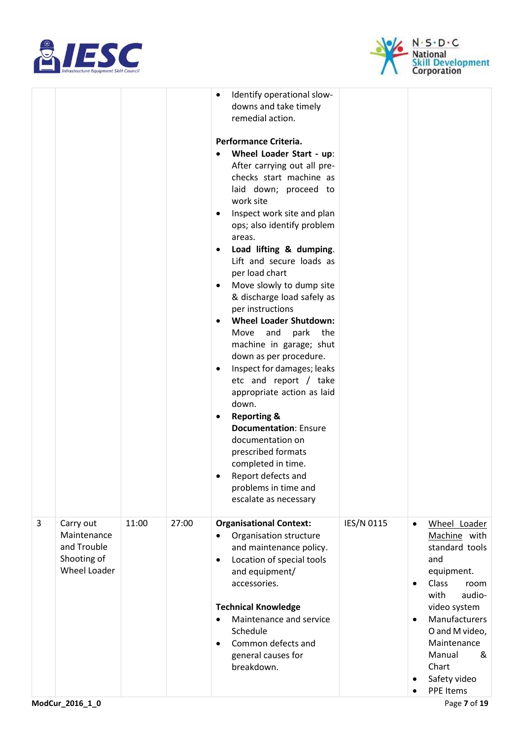



|   |                                                                               |       |       | Identify operational slow-<br>$\bullet$<br>downs and take timely<br>remedial action.<br>Performance Criteria.<br>Wheel Loader Start - up:<br>$\bullet$<br>After carrying out all pre-<br>checks start machine as<br>laid down; proceed to<br>work site<br>Inspect work site and plan<br>٠<br>ops; also identify problem<br>areas.<br>Load lifting & dumping.<br>$\bullet$<br>Lift and secure loads as<br>per load chart<br>Move slowly to dump site<br>٠<br>& discharge load safely as<br>per instructions<br><b>Wheel Loader Shutdown:</b><br>$\bullet$<br>and<br>park<br>the<br>Move<br>machine in garage; shut<br>down as per procedure.<br>Inspect for damages; leaks<br>٠<br>etc and report / take<br>appropriate action as laid<br>down.<br><b>Reporting &amp;</b><br>٠<br><b>Documentation: Ensure</b><br>documentation on<br>prescribed formats<br>completed in time.<br>Report defects and<br>problems in time and<br>escalate as necessary |            |                                                                                                                                                                                                                                                                                  |
|---|-------------------------------------------------------------------------------|-------|-------|------------------------------------------------------------------------------------------------------------------------------------------------------------------------------------------------------------------------------------------------------------------------------------------------------------------------------------------------------------------------------------------------------------------------------------------------------------------------------------------------------------------------------------------------------------------------------------------------------------------------------------------------------------------------------------------------------------------------------------------------------------------------------------------------------------------------------------------------------------------------------------------------------------------------------------------------------|------------|----------------------------------------------------------------------------------------------------------------------------------------------------------------------------------------------------------------------------------------------------------------------------------|
| 3 | Carry out<br>Maintenance<br>and Trouble<br>Shooting of<br><b>Wheel Loader</b> | 11:00 | 27:00 | <b>Organisational Context:</b><br>Organisation structure<br>and maintenance policy.<br>Location of special tools<br>$\bullet$<br>and equipment/<br>accessories.<br><b>Technical Knowledge</b><br>Maintenance and service<br>$\bullet$<br>Schedule<br>Common defects and<br>$\bullet$<br>general causes for<br>breakdown.                                                                                                                                                                                                                                                                                                                                                                                                                                                                                                                                                                                                                             | IES/N 0115 | Wheel Loader<br>$\bullet$<br>Machine with<br>standard tools<br>and<br>equipment.<br>Class<br>room<br>$\bullet$<br>with<br>audio-<br>video system<br>Manufacturers<br>$\bullet$<br>O and M video,<br>Maintenance<br>Manual<br>&<br>Chart<br>Safety video<br>٠<br><b>PPE Items</b> |
|   | ModCur_2016_1_0                                                               |       |       |                                                                                                                                                                                                                                                                                                                                                                                                                                                                                                                                                                                                                                                                                                                                                                                                                                                                                                                                                      |            | Page 7 of 19                                                                                                                                                                                                                                                                     |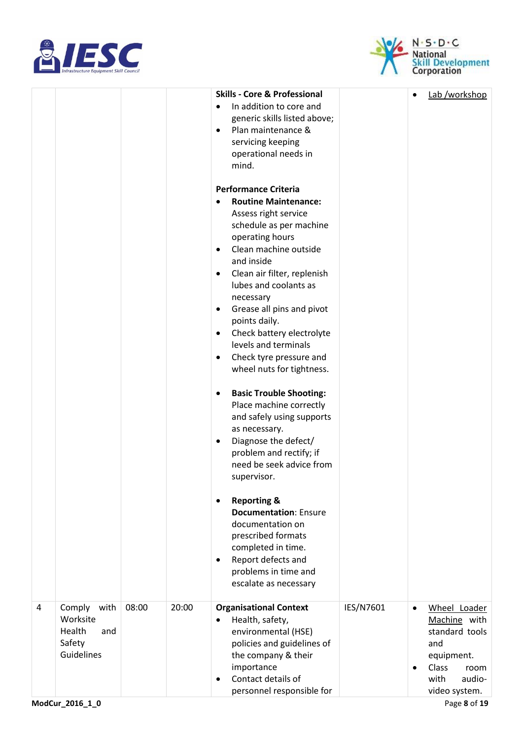



|   |                                                                     |       |       | <b>Skills - Core &amp; Professional</b>                                                                                                                                                                                         |           |                        | Lab /workshop                                                                                                           |
|---|---------------------------------------------------------------------|-------|-------|---------------------------------------------------------------------------------------------------------------------------------------------------------------------------------------------------------------------------------|-----------|------------------------|-------------------------------------------------------------------------------------------------------------------------|
|   |                                                                     |       |       | In addition to core and<br>generic skills listed above;<br>Plan maintenance &<br>$\bullet$<br>servicing keeping<br>operational needs in<br>mind.                                                                                |           |                        |                                                                                                                         |
|   |                                                                     |       |       | <b>Performance Criteria</b>                                                                                                                                                                                                     |           |                        |                                                                                                                         |
|   |                                                                     |       |       | <b>Routine Maintenance:</b>                                                                                                                                                                                                     |           |                        |                                                                                                                         |
|   |                                                                     |       |       | Assess right service<br>schedule as per machine<br>operating hours<br>Clean machine outside<br>$\bullet$<br>and inside                                                                                                          |           |                        |                                                                                                                         |
|   |                                                                     |       |       | Clean air filter, replenish<br>$\bullet$<br>lubes and coolants as                                                                                                                                                               |           |                        |                                                                                                                         |
|   |                                                                     |       |       | necessary<br>Grease all pins and pivot<br>$\bullet$<br>points daily.                                                                                                                                                            |           |                        |                                                                                                                         |
|   |                                                                     |       |       | Check battery electrolyte<br>$\bullet$<br>levels and terminals                                                                                                                                                                  |           |                        |                                                                                                                         |
|   |                                                                     |       |       | Check tyre pressure and<br>$\bullet$<br>wheel nuts for tightness.                                                                                                                                                               |           |                        |                                                                                                                         |
|   |                                                                     |       |       | <b>Basic Trouble Shooting:</b><br>$\bullet$<br>Place machine correctly<br>and safely using supports<br>as necessary.<br>Diagnose the defect/<br>$\bullet$<br>problem and rectify; if<br>need be seek advice from<br>supervisor. |           |                        |                                                                                                                         |
|   |                                                                     |       |       | <b>Reporting &amp;</b><br>$\bullet$<br><b>Documentation: Ensure</b><br>documentation on<br>prescribed formats<br>completed in time.<br>Report defects and<br>$\bullet$<br>problems in time and<br>escalate as necessary         |           |                        |                                                                                                                         |
| 4 | Comply<br>with<br>Worksite<br>Health<br>and<br>Safety<br>Guidelines | 08:00 | 20:00 | <b>Organisational Context</b><br>Health, safety,<br>$\bullet$<br>environmental (HSE)<br>policies and guidelines of<br>the company & their<br>importance<br>Contact details of<br>$\bullet$<br>personnel responsible for         | IES/N7601 | $\bullet$<br>$\bullet$ | Wheel Loader<br>Machine with<br>standard tools<br>and<br>equipment.<br>Class<br>room<br>with<br>audio-<br>video system. |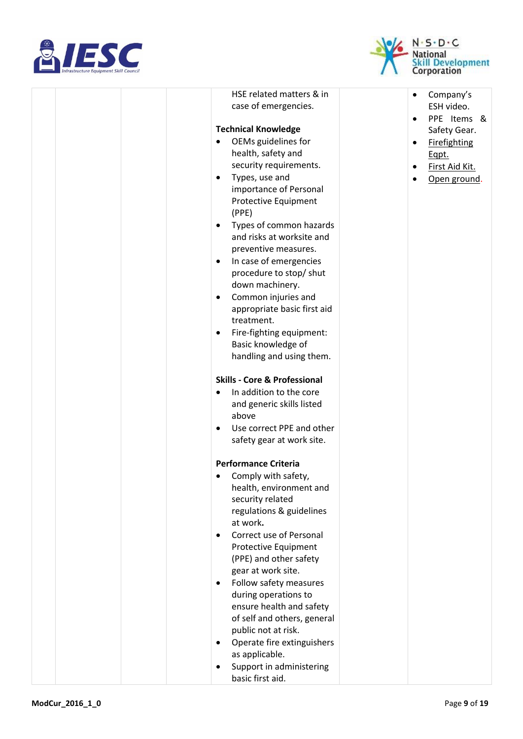



| HSE related matters & in<br>case of emergencies.<br><b>Technical Knowledge</b><br>OEMs guidelines for<br>health, safety and<br>security requirements.<br>Types, use and<br>$\bullet$<br>importance of Personal<br>Protective Equipment<br>(PPE)<br>Types of common hazards<br>$\bullet$<br>and risks at worksite and<br>preventive measures.<br>In case of emergencies<br>$\bullet$<br>procedure to stop/ shut<br>down machinery.<br>Common injuries and<br>$\bullet$<br>appropriate basic first aid<br>treatment.<br>Fire-fighting equipment:<br>$\bullet$<br>Basic knowledge of<br>handling and using them.<br><b>Skills - Core &amp; Professional</b><br>In addition to the core<br>$\bullet$<br>and generic skills listed<br>above<br>Use correct PPE and other<br>$\bullet$ | Company's<br>$\bullet$<br>ESH video.<br>PPE Items &<br>$\bullet$<br>Safety Gear.<br><b>Firefighting</b><br>٠<br>Eqpt.<br>First Aid Kit.<br>٠<br>Open ground.<br>٠ |
|----------------------------------------------------------------------------------------------------------------------------------------------------------------------------------------------------------------------------------------------------------------------------------------------------------------------------------------------------------------------------------------------------------------------------------------------------------------------------------------------------------------------------------------------------------------------------------------------------------------------------------------------------------------------------------------------------------------------------------------------------------------------------------|-------------------------------------------------------------------------------------------------------------------------------------------------------------------|
| safety gear at work site.<br><b>Performance Criteria</b><br>• Comply with safety,                                                                                                                                                                                                                                                                                                                                                                                                                                                                                                                                                                                                                                                                                                |                                                                                                                                                                   |
| health, environment and<br>security related<br>regulations & guidelines<br>at work.<br>Correct use of Personal<br>Protective Equipment<br>(PPE) and other safety                                                                                                                                                                                                                                                                                                                                                                                                                                                                                                                                                                                                                 |                                                                                                                                                                   |
| gear at work site.<br>Follow safety measures<br>$\bullet$<br>during operations to<br>ensure health and safety<br>of self and others, general<br>public not at risk.<br>Operate fire extinguishers<br>$\bullet$                                                                                                                                                                                                                                                                                                                                                                                                                                                                                                                                                                   |                                                                                                                                                                   |
| as applicable.<br>Support in administering<br>basic first aid.                                                                                                                                                                                                                                                                                                                                                                                                                                                                                                                                                                                                                                                                                                                   |                                                                                                                                                                   |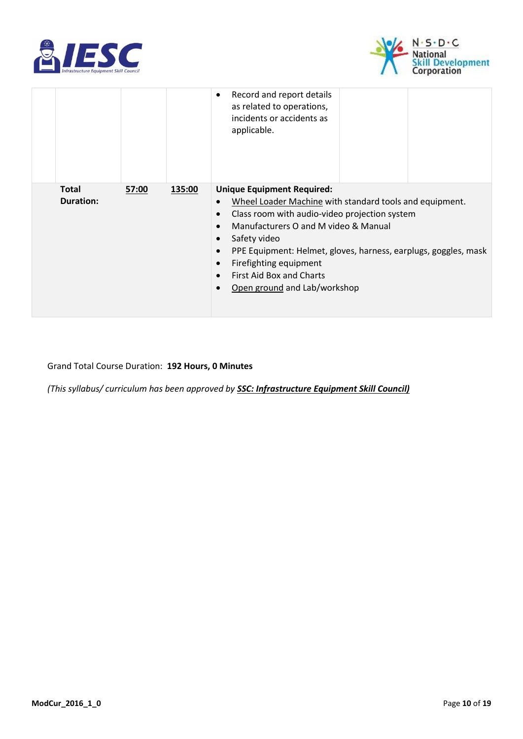



|                                  |       |        | Record and report details<br>$\bullet$<br>as related to operations,<br>incidents or accidents as<br>applicable.                                                                                                                                                                                                                                                                                                                              |  |  |  |
|----------------------------------|-------|--------|----------------------------------------------------------------------------------------------------------------------------------------------------------------------------------------------------------------------------------------------------------------------------------------------------------------------------------------------------------------------------------------------------------------------------------------------|--|--|--|
| <b>Total</b><br><b>Duration:</b> | 57:00 | 135:00 | <b>Unique Equipment Required:</b><br>Wheel Loader Machine with standard tools and equipment.<br>$\bullet$<br>Class room with audio-video projection system<br>$\bullet$<br>Manufacturers O and M video & Manual<br>Safety video<br>$\bullet$<br>PPE Equipment: Helmet, gloves, harness, earplugs, goggles, mask<br>$\bullet$<br>Firefighting equipment<br>$\bullet$<br>First Aid Box and Charts<br>$\bullet$<br>Open ground and Lab/workshop |  |  |  |

Grand Total Course Duration: **192 Hours, 0 Minutes**

*(This syllabus/ curriculum has been approved by SSC: Infrastructure Equipment Skill Council)*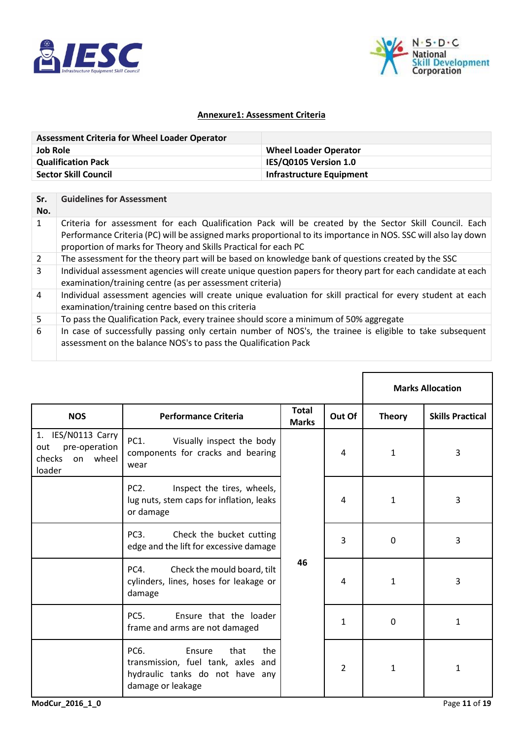



### **Annexure1: Assessment Criteria**

| <b>Assessment Criteria for Wheel Loader Operator</b> |                              |
|------------------------------------------------------|------------------------------|
| Job Role                                             | <b>Wheel Loader Operator</b> |
| <b>Qualification Pack</b>                            | IES/Q0105 Version 1.0        |
| <b>Sector Skill Council</b>                          | Infrastructure Equipment     |

| Sr.<br>No.     | <b>Guidelines for Assessment</b>                                                                                                                                                                                                                                                           |
|----------------|--------------------------------------------------------------------------------------------------------------------------------------------------------------------------------------------------------------------------------------------------------------------------------------------|
| 1              | Criteria for assessment for each Qualification Pack will be created by the Sector Skill Council. Each<br>Performance Criteria (PC) will be assigned marks proportional to its importance in NOS. SSC will also lay down<br>proportion of marks for Theory and Skills Practical for each PC |
| 2              | The assessment for the theory part will be based on knowledge bank of questions created by the SSC                                                                                                                                                                                         |
| $\mathbf{3}$   | Individual assessment agencies will create unique question papers for theory part for each candidate at each<br>examination/training centre (as per assessment criteria)                                                                                                                   |
| $\overline{4}$ | Individual assessment agencies will create unique evaluation for skill practical for every student at each<br>examination/training centre based on this criteria                                                                                                                           |
| 5              | To pass the Qualification Pack, every trainee should score a minimum of 50% aggregate                                                                                                                                                                                                      |
| 6              | In case of successfully passing only certain number of NOS's, the trainee is eligible to take subsequent<br>assessment on the balance NOS's to pass the Qualification Pack                                                                                                                 |

|                                                                            |                                                                                                                             |                              |                |               | <b>Marks Allocation</b> |
|----------------------------------------------------------------------------|-----------------------------------------------------------------------------------------------------------------------------|------------------------------|----------------|---------------|-------------------------|
| <b>NOS</b>                                                                 | <b>Performance Criteria</b>                                                                                                 | <b>Total</b><br><b>Marks</b> | Out Of         | <b>Theory</b> | <b>Skills Practical</b> |
| 1. IES/N0113 Carry<br>pre-operation<br>out<br>checks<br>on wheel<br>loader | PC1.<br>Visually inspect the body<br>components for cracks and bearing<br>wear                                              |                              | 4              | $\mathbf{1}$  | 3                       |
|                                                                            | PC <sub>2</sub> .<br>Inspect the tires, wheels,<br>lug nuts, stem caps for inflation, leaks<br>or damage                    |                              | 4              | 1             | 3                       |
|                                                                            | PC <sub>3</sub> .<br>Check the bucket cutting<br>edge and the lift for excessive damage                                     |                              | 3              | $\mathbf 0$   | 3                       |
|                                                                            | Check the mould board, tilt<br>PC4.<br>cylinders, lines, hoses for leakage or<br>damage                                     | 46                           | 4              | $\mathbf{1}$  | 3                       |
|                                                                            | <b>PC5.</b><br>Ensure that the loader<br>frame and arms are not damaged                                                     |                              | $\mathbf{1}$   | 0             | 1                       |
|                                                                            | PC6.<br>Ensure<br>that<br>the<br>transmission, fuel tank, axles and<br>hydraulic tanks do not have any<br>damage or leakage |                              | $\overline{2}$ | $\mathbf{1}$  | 1                       |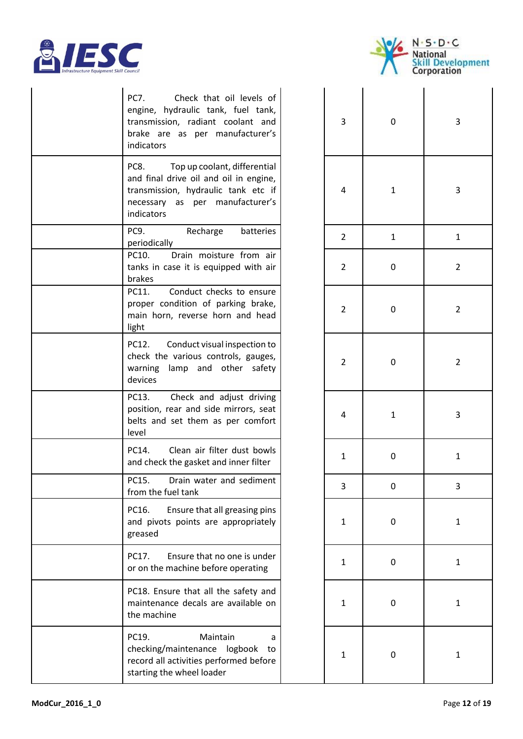



|  | Check that oil levels of<br>PC7.<br>engine, hydraulic tank, fuel tank,<br>transmission, radiant coolant and<br>brake are as per manufacturer's<br>indicators           | 3            | 0            | 3                       |
|--|------------------------------------------------------------------------------------------------------------------------------------------------------------------------|--------------|--------------|-------------------------|
|  | PC8.<br>Top up coolant, differential<br>and final drive oil and oil in engine,<br>transmission, hydraulic tank etc if<br>necessary as per manufacturer's<br>indicators | 4            | $\mathbf{1}$ | 3                       |
|  | PC9.<br>Recharge<br>batteries<br>periodically                                                                                                                          | 2            | $\mathbf{1}$ | 1                       |
|  | PC10.<br>Drain moisture from air<br>tanks in case it is equipped with air<br>brakes                                                                                    | 2            | 0            | $\overline{\mathbf{c}}$ |
|  | PC11.<br>Conduct checks to ensure<br>proper condition of parking brake,<br>main horn, reverse horn and head<br>light                                                   | 2            | 0            | $\overline{\mathbf{c}}$ |
|  | Conduct visual inspection to<br>PC12.<br>check the various controls, gauges,<br>warning lamp and other safety<br>devices                                               | 2            | 0            | $\overline{\mathbf{c}}$ |
|  | Check and adjust driving<br>PC13.<br>position, rear and side mirrors, seat<br>belts and set them as per comfort<br>level                                               | 4            | $\mathbf{1}$ | 3                       |
|  | Clean air filter dust bowls<br>PC14.<br>and check the gasket and inner filter                                                                                          | 1            | 0            | 1                       |
|  | PC15. Drain water and sediment<br>from the fuel tank                                                                                                                   | 3            | 0            | З                       |
|  | Ensure that all greasing pins<br>PC16.<br>and pivots points are appropriately<br>greased                                                                               | 1            | 0            | 1                       |
|  | Ensure that no one is under<br>PC17.<br>or on the machine before operating                                                                                             | 1            | 0            | 1                       |
|  | PC18. Ensure that all the safety and<br>maintenance decals are available on<br>the machine                                                                             | 1            | 0            | 1                       |
|  | PC19.<br>Maintain<br>a<br>checking/maintenance logbook to<br>record all activities performed before<br>starting the wheel loader                                       | $\mathbf{1}$ | 0            |                         |

| $\overline{\mathbf{3}}$ | $\mathbf{0}$ | 3                       |
|-------------------------|--------------|-------------------------|
| $\overline{\mathbf{r}}$ | $\mathbf{1}$ | 3                       |
| $\overline{\mathbf{c}}$ | $\mathbf{1}$ | $\mathbf{1}$            |
| $\overline{\mathbf{c}}$ | $\mathbf{0}$ | $\overline{\mathbf{c}}$ |
| $\overline{\mathbf{c}}$ | $\mathbf{0}$ | $\overline{\mathbf{c}}$ |
| $\overline{\mathbf{c}}$ | $\mathbf{0}$ | $\overline{\mathbf{c}}$ |
| $\overline{\mathbf{r}}$ | $\mathbf{1}$ | 3                       |
| $\mathbf{1}$            | $\mathbf{0}$ | $\mathbf{1}$            |
| 3                       | $\mathbf{0}$ | $\mathsf{3}$            |
| $\mathbf{1}$            | $\mathbf{0}$ | $\mathbf{1}$            |
| $\mathbf{1}$            | $\mathbf{0}$ | $\mathbf{1}$            |
| $\mathbf{1}$            | $\mathbf{0}$ | $\mathbf{1}$            |
| $\mathbf{1}$            | $\mathbf{0}$ | $\mathbf{1}$            |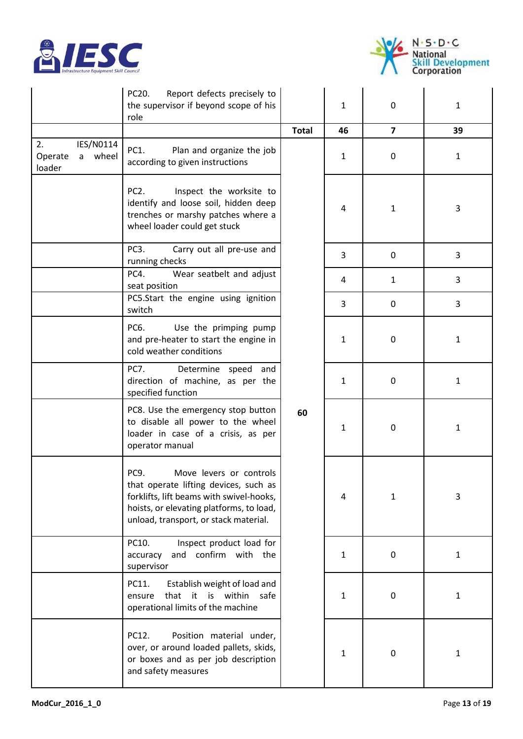



|                                                    | PC20.<br>Report defects precisely to<br>the supervisor if beyond scope of his<br>role                                                                                                                     |              | 1            | $\mathbf 0$  | $\mathbf{1}$ |
|----------------------------------------------------|-----------------------------------------------------------------------------------------------------------------------------------------------------------------------------------------------------------|--------------|--------------|--------------|--------------|
|                                                    |                                                                                                                                                                                                           | <b>Total</b> | 46           | 7            | 39           |
| 2.<br>IES/N0114<br>wheel<br>Operate<br>a<br>loader | PC1.<br>Plan and organize the job<br>according to given instructions                                                                                                                                      |              | $\mathbf{1}$ | 0            | $\mathbf{1}$ |
|                                                    | PC <sub>2</sub> .<br>Inspect the worksite to<br>identify and loose soil, hidden deep<br>trenches or marshy patches where a<br>wheel loader could get stuck                                                |              | 4            | $\mathbf{1}$ | 3            |
|                                                    | PC <sub>3</sub> .<br>Carry out all pre-use and<br>running checks                                                                                                                                          |              | 3            | $\mathbf 0$  | 3            |
|                                                    | PC4.<br>Wear seatbelt and adjust<br>seat position                                                                                                                                                         |              | 4            | $\mathbf{1}$ | 3            |
|                                                    | PC5.Start the engine using ignition<br>switch                                                                                                                                                             |              | 3            | 0            | 3            |
|                                                    | Use the primping pump<br>PC6.<br>and pre-heater to start the engine in<br>cold weather conditions                                                                                                         |              | 1            | $\pmb{0}$    | 1            |
|                                                    | <b>PC7.</b><br>Determine speed and<br>direction of machine, as per the<br>specified function                                                                                                              |              | 1            | 0            | $\mathbf{1}$ |
|                                                    | PC8. Use the emergency stop button<br>to disable all power to the wheel<br>loader in case of a crisis, as per<br>operator manual                                                                          | 60           | 1            | $\mathbf 0$  | 1            |
|                                                    | PC9.<br>Move levers or controls<br>that operate lifting devices, such as<br>forklifts, lift beams with swivel-hooks,<br>hoists, or elevating platforms, to load,<br>unload, transport, or stack material. |              | 4            | 1            | 3            |
|                                                    | Inspect product load for<br>PC10.<br>and confirm with the<br>accuracy<br>supervisor                                                                                                                       |              | 1            | $\pmb{0}$    | $\mathbf{1}$ |
|                                                    | Establish weight of load and<br>PC11.<br>that it is within safe<br>ensure<br>operational limits of the machine                                                                                            |              | 1            | $\mathbf 0$  | $\mathbf{1}$ |
|                                                    | PC12.<br>Position material under,<br>over, or around loaded pallets, skids,<br>or boxes and as per job description<br>and safety measures                                                                 |              | 1            | 0            | 1            |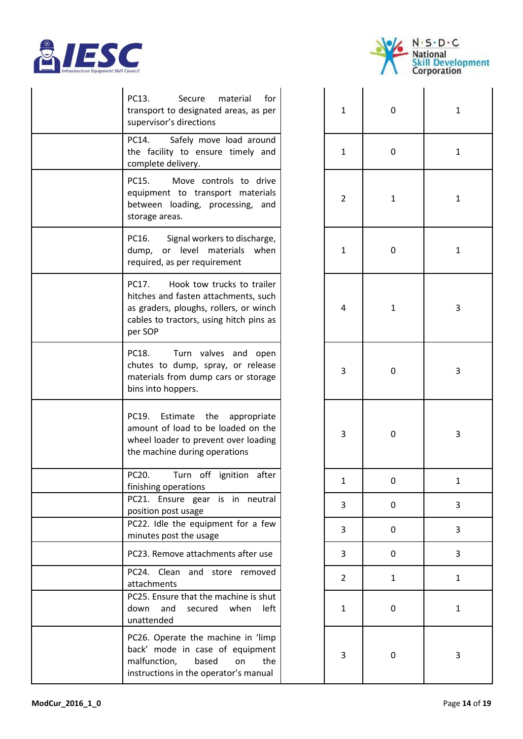



| PC13.<br>Secure<br>material<br>for<br>transport to designated areas, as per<br>supervisor's directions                                                                      | 1              | 0            | 1 |
|-----------------------------------------------------------------------------------------------------------------------------------------------------------------------------|----------------|--------------|---|
| Safely move load around<br>PC14.<br>the facility to ensure timely and<br>complete delivery.                                                                                 | 1              | 0            | 1 |
| PC15.<br>Move controls to drive<br>equipment to transport materials<br>between loading, processing, and<br>storage areas.                                                   | $\overline{2}$ | $\mathbf{1}$ | 1 |
| PC16.<br>Signal workers to discharge,<br>dump, or level materials when<br>required, as per requirement                                                                      | $\mathbf{1}$   | 0            | 1 |
| Hook tow trucks to trailer<br>PC17.<br>hitches and fasten attachments, such<br>as graders, ploughs, rollers, or winch<br>cables to tractors, using hitch pins as<br>per SOP | 4              | $\mathbf{1}$ | 3 |
| PC18.<br>Turn valves and open<br>chutes to dump, spray, or release<br>materials from dump cars or storage<br>bins into hoppers.                                             | 3              | 0            | 3 |
| PC19.<br>Estimate<br>the<br>appropriate<br>amount of load to be loaded on the<br>wheel loader to prevent over loading<br>the machine during operations                      | 3              | 0            | 3 |
| PC20.<br>Turn off ignition after<br>finishing operations                                                                                                                    |                | 0            |   |
| PC21. Ensure gear is in neutral<br>position post usage                                                                                                                      | 3              | 0            | З |
| PC22. Idle the equipment for a few<br>minutes post the usage                                                                                                                | 3              | 0            | 3 |
| PC23. Remove attachments after use                                                                                                                                          | 3              | 0            | З |
| PC24. Clean and<br>store removed<br>attachments                                                                                                                             | $\overline{2}$ | $\mathbf{1}$ | 1 |
| PC25. Ensure that the machine is shut<br>when<br>down<br>and<br>secured<br>left<br>unattended                                                                               | 1              | 0            | 1 |
| PC26. Operate the machine in 'limp<br>back' mode in case of equipment<br>malfunction,<br>based<br>the<br>on<br>instructions in the operator's manual                        | 3              | 0            | 3 |

| $\mathbf{1}$            | $\mathbf{0}$ | $\mathbf{1}$            |
|-------------------------|--------------|-------------------------|
| $\mathbf{1}$            | $\mathbf{0}$ | $\mathbf{1}$            |
| $\overline{\mathbf{c}}$ | $\mathbf{1}$ | $\mathbf{1}$            |
| $\mathbf{1}$            | $\mathbf{0}$ | $\mathbf{1}$            |
| $\overline{\mathbf{r}}$ | $\mathbf{1}$ | 3                       |
| 3                       | $\mathbf{0}$ | 3                       |
| 3                       | $\mathbf{0}$ | 3                       |
| $\mathbf{1}$            | $\mathbf{0}$ | $\mathbf{1}$            |
| 3                       | $\mathbf{0}$ | 3                       |
| 3                       | $\mathbf{0}$ | $\overline{\mathbf{3}}$ |
| 3                       | $\mathbf{0}$ | 3                       |
| $\overline{\mathbf{c}}$ | $\mathbf{1}$ | $\mathbf{1}$            |
| $\mathbf{1}$            | $\mathbf{0}$ | $\mathbf{1}$            |
| 3                       | $\mathbf{0}$ | 3                       |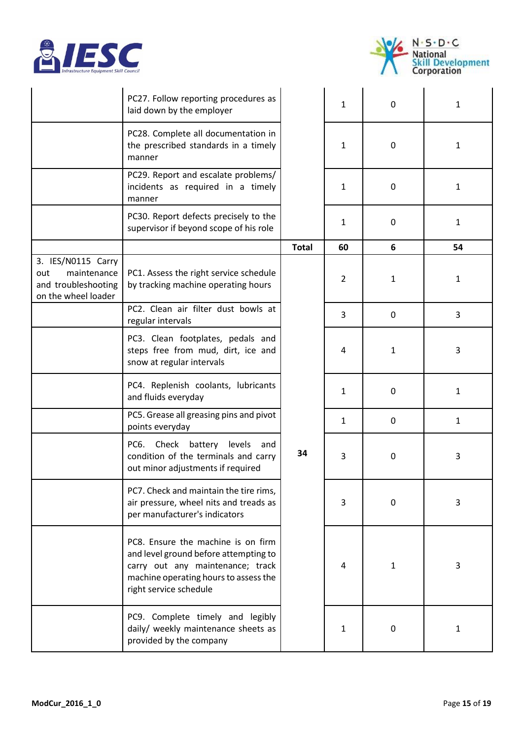



|                                                                                        | PC27. Follow reporting procedures as<br>laid down by the employer                                                                                                                  |              | $\mathbf{1}$   | $\mathbf 0$  | $\mathbf{1}$ |
|----------------------------------------------------------------------------------------|------------------------------------------------------------------------------------------------------------------------------------------------------------------------------------|--------------|----------------|--------------|--------------|
|                                                                                        | PC28. Complete all documentation in<br>the prescribed standards in a timely<br>manner                                                                                              |              | $\mathbf{1}$   | $\mathbf 0$  | $\mathbf{1}$ |
|                                                                                        | PC29. Report and escalate problems/<br>incidents as required in a timely<br>manner                                                                                                 |              | $\mathbf{1}$   | 0            | 1            |
|                                                                                        | PC30. Report defects precisely to the<br>supervisor if beyond scope of his role                                                                                                    |              | 1              | 0            | $\mathbf{1}$ |
|                                                                                        |                                                                                                                                                                                    | <b>Total</b> | 60             | 6            | 54           |
| 3. IES/N0115 Carry<br>maintenance<br>out<br>and troubleshooting<br>on the wheel loader | PC1. Assess the right service schedule<br>by tracking machine operating hours                                                                                                      |              | $\overline{2}$ | 1            | 1            |
|                                                                                        | PC2. Clean air filter dust bowls at<br>regular intervals                                                                                                                           |              | 3              | $\mathbf 0$  | 3            |
|                                                                                        | PC3. Clean footplates, pedals and<br>steps free from mud, dirt, ice and<br>snow at regular intervals                                                                               |              | 4              | 1            | 3            |
|                                                                                        | PC4. Replenish coolants, lubricants<br>and fluids everyday                                                                                                                         |              | 1              | 0            | 1            |
|                                                                                        | PC5. Grease all greasing pins and pivot<br>points everyday                                                                                                                         |              | 1              | 0            | $\mathbf{1}$ |
|                                                                                        | PC6. Check battery levels<br>and<br>condition of the terminals and carry<br>out minor adjustments if required                                                                      | 34           | 3              | 0            | 3            |
|                                                                                        | PC7. Check and maintain the tire rims,<br>air pressure, wheel nits and treads as<br>per manufacturer's indicators                                                                  |              | 3              | 0            | 3            |
|                                                                                        | PC8. Ensure the machine is on firm<br>and level ground before attempting to<br>carry out any maintenance; track<br>machine operating hours to assess the<br>right service schedule |              | 4              | $\mathbf{1}$ | 3            |
|                                                                                        | PC9. Complete timely and legibly<br>daily/ weekly maintenance sheets as<br>provided by the company                                                                                 |              | $\mathbf{1}$   | 0            | $\mathbf{1}$ |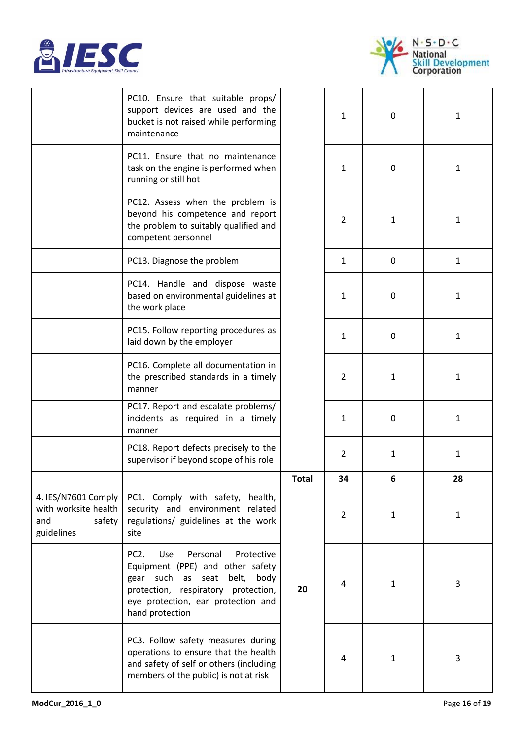



|                                                                            | PC10. Ensure that suitable props/<br>support devices are used and the<br>bucket is not raised while performing<br>maintenance                                                                                                |              | $\mathbf{1}$   | 0            | $\mathbf{1}$ |
|----------------------------------------------------------------------------|------------------------------------------------------------------------------------------------------------------------------------------------------------------------------------------------------------------------------|--------------|----------------|--------------|--------------|
|                                                                            | PC11. Ensure that no maintenance<br>task on the engine is performed when<br>running or still hot                                                                                                                             |              | $\mathbf{1}$   | 0            | 1            |
|                                                                            | PC12. Assess when the problem is<br>beyond his competence and report<br>the problem to suitably qualified and<br>competent personnel                                                                                         |              | $\overline{2}$ | 1            | $\mathbf{1}$ |
|                                                                            | PC13. Diagnose the problem                                                                                                                                                                                                   |              | $\mathbf{1}$   | $\mathbf{0}$ | $\mathbf{1}$ |
|                                                                            | PC14. Handle and dispose waste<br>based on environmental guidelines at<br>the work place                                                                                                                                     |              | $\mathbf{1}$   | 0            | 1            |
|                                                                            | PC15. Follow reporting procedures as<br>laid down by the employer                                                                                                                                                            |              | $\mathbf{1}$   | 0            | 1            |
|                                                                            | PC16. Complete all documentation in<br>the prescribed standards in a timely<br>manner                                                                                                                                        |              | $\overline{2}$ | $\mathbf{1}$ | $\mathbf{1}$ |
|                                                                            | PC17. Report and escalate problems/<br>incidents as required in a timely<br>manner                                                                                                                                           |              | $\mathbf{1}$   | $\mathbf{0}$ | $\mathbf{1}$ |
|                                                                            | PC18. Report defects precisely to the<br>supervisor if beyond scope of his role                                                                                                                                              |              | $\overline{2}$ | $\mathbf{1}$ | 1            |
|                                                                            |                                                                                                                                                                                                                              | <b>Total</b> | 34             | 6            | 28           |
| 4. IES/N7601 Comply<br>with worksite health<br>and<br>safety<br>guidelines | PC1. Comply with safety, health,<br>security and environment related<br>regulations/ guidelines at the work<br>site                                                                                                          |              | 2              | 1            | 1            |
|                                                                            | Personal<br>PC <sub>2</sub> .<br>Use<br>Protective<br>Equipment (PPE) and other safety<br>gear such as seat<br>belt,<br>body<br>protection, respiratory protection,<br>eye protection, ear protection and<br>hand protection | 20           | 4              | $\mathbf{1}$ | 3            |
|                                                                            | PC3. Follow safety measures during<br>operations to ensure that the health<br>and safety of self or others (including<br>members of the public) is not at risk                                                               |              | 4              | $\mathbf{1}$ | 3            |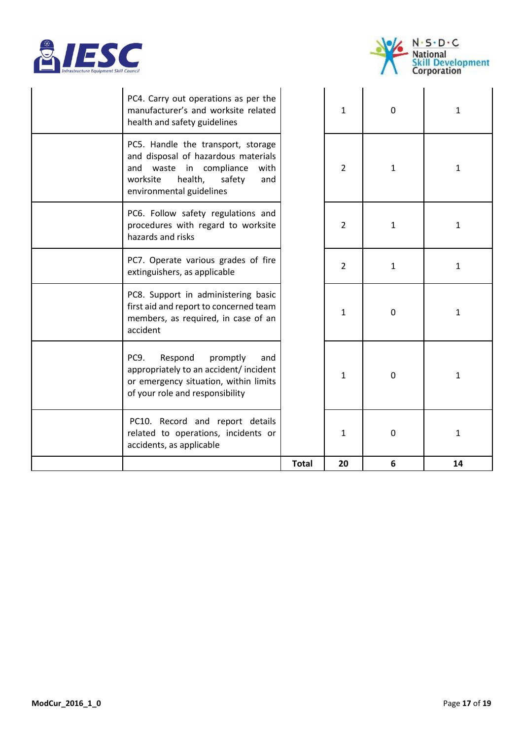



| PC4. Carry out operations as per the<br>manufacturer's and worksite related<br>health and safety guidelines                                                                      |              | $\mathbf{1}$   | $\mathbf 0$  | $\mathbf{1}$ |
|----------------------------------------------------------------------------------------------------------------------------------------------------------------------------------|--------------|----------------|--------------|--------------|
| PC5. Handle the transport, storage<br>and disposal of hazardous materials<br>and waste in compliance<br>with<br>health,<br>worksite<br>safety<br>and<br>environmental guidelines |              | $\overline{2}$ | $\mathbf{1}$ | 1            |
| PC6. Follow safety regulations and<br>procedures with regard to worksite<br>hazards and risks                                                                                    |              | $\overline{2}$ | $\mathbf{1}$ | 1            |
| PC7. Operate various grades of fire<br>extinguishers, as applicable                                                                                                              |              | $\overline{2}$ | 1            | $\mathbf{1}$ |
| PC8. Support in administering basic<br>first aid and report to concerned team<br>members, as required, in case of an<br>accident                                                 |              | $\mathbf{1}$   | $\mathbf 0$  | 1            |
| PC <sub>9</sub> .<br>Respond<br>promptly<br>and<br>appropriately to an accident/ incident<br>or emergency situation, within limits<br>of your role and responsibility            |              | 1              | 0            | 1            |
| PC10. Record and report details<br>related to operations, incidents or<br>accidents, as applicable                                                                               |              | 1              | $\pmb{0}$    | 1            |
|                                                                                                                                                                                  | <b>Total</b> | 20             | 6            | 14           |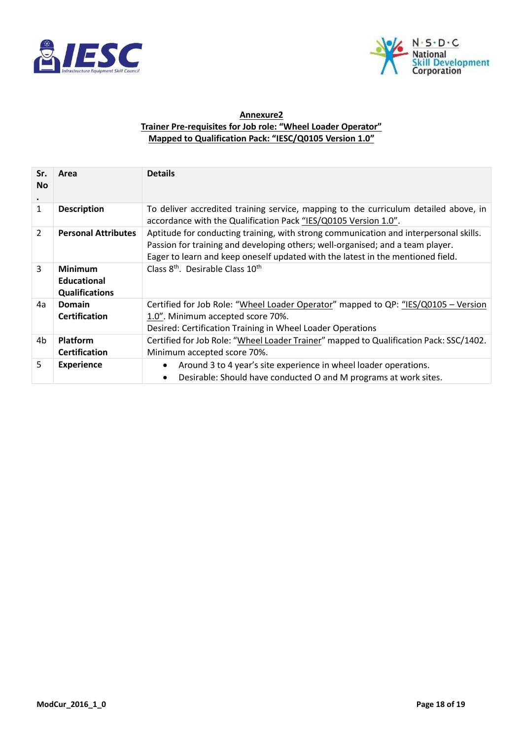



### **Annexure2 Trainer Pre-requisites for Job role: "Wheel Loader Operator" Mapped to Qualification Pack: "IESC/Q0105 Version 1.0"**

| Sr.<br><b>No</b><br>$\bullet$ | Area                                                          | <b>Details</b>                                                                                                                                                                                                                                             |
|-------------------------------|---------------------------------------------------------------|------------------------------------------------------------------------------------------------------------------------------------------------------------------------------------------------------------------------------------------------------------|
| $\mathbf{1}$                  | <b>Description</b>                                            | To deliver accredited training service, mapping to the curriculum detailed above, in<br>accordance with the Qualification Pack "IES/Q0105 Version 1.0".                                                                                                    |
| $\overline{2}$                | <b>Personal Attributes</b>                                    | Aptitude for conducting training, with strong communication and interpersonal skills.<br>Passion for training and developing others; well-organised; and a team player.<br>Eager to learn and keep oneself updated with the latest in the mentioned field. |
| 3                             | <b>Minimum</b><br><b>Educational</b><br><b>Qualifications</b> | Class 8 <sup>th</sup> . Desirable Class 10 <sup>th</sup>                                                                                                                                                                                                   |
| 4a                            | Domain<br><b>Certification</b>                                | Certified for Job Role: "Wheel Loader Operator" mapped to QP: "IES/Q0105 - Version<br>1.0". Minimum accepted score 70%.<br>Desired: Certification Training in Wheel Loader Operations                                                                      |
| 4b                            | Platform<br><b>Certification</b>                              | Certified for Job Role: "Wheel Loader Trainer" mapped to Qualification Pack: SSC/1402.<br>Minimum accepted score 70%.                                                                                                                                      |
| 5                             | <b>Experience</b>                                             | Around 3 to 4 year's site experience in wheel loader operations.<br>$\bullet$<br>Desirable: Should have conducted O and M programs at work sites.                                                                                                          |